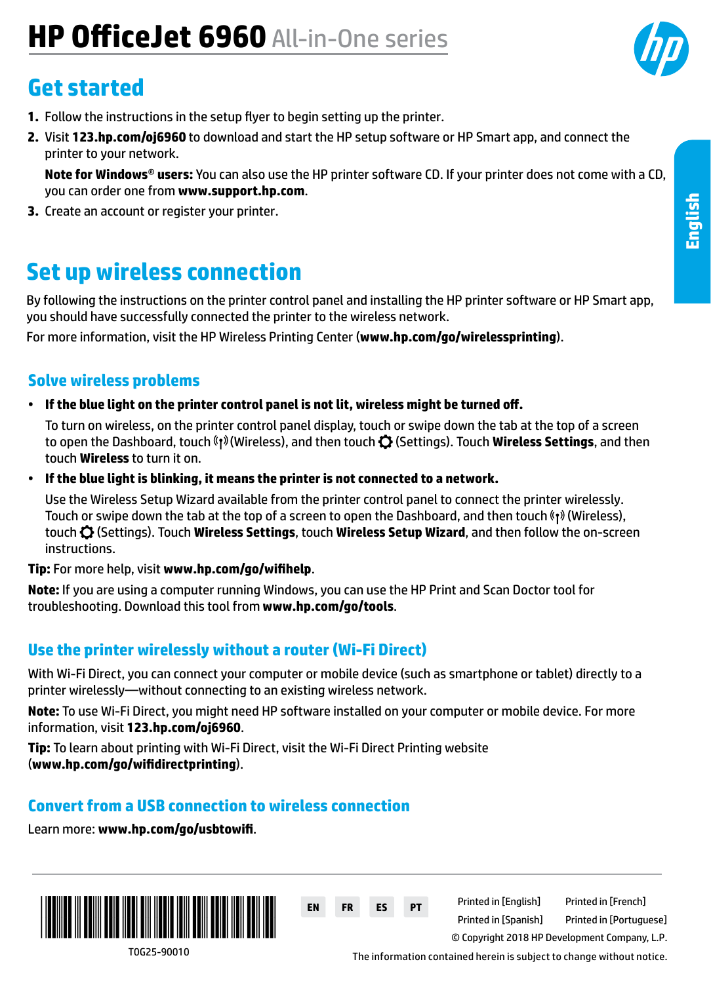# **HP OfficeJet 6960** All-in-One series

## **Get started**

- **1.** Follow the instructions in the setup flyer to begin setting up the printer.
- **2.** Visit **[123.hp.com/oj6960](http://123.hp.com/oj6960)** to download and start the HP setup software or HP Smart app, and connect the printer to your network.

**Note for Windows**® **users:** You can also use the HP printer software CD. If your printer does not come with a CD, you can order one from **[www.support.hp.com](http://www.support.hp.com)**.

**3.** Create an account or register your printer.

## **Set up wireless connection**

By following the instructions on the printer control panel and installing the HP printer software or HP Smart app, you should have successfully connected the printer to the wireless network.

For more information, visit the HP Wireless Printing Center (**[www.hp.com/go/wirelessprinting](http://www.hp.com/go/wirelessprinting)**).

#### **Solve wireless problems**

• **If the blue light on the printer control panel is not lit, wireless might be turned off.** 

To turn on wireless, on the printer control panel display, touch or swipe down the tab at the top of a screen to open the Dashboard, touch (Wireless), and then touch (Settings). Touch **Wireless Settings**, and then touch **Wireless** to turn it on.

• **If the blue light is blinking, it means the printer is not connected to a network.** 

Use the Wireless Setup Wizard available from the printer control panel to connect the printer wirelessly. Touch or swipe down the tab at the top of a screen to open the Dashboard, and then touch  $\langle \cdot, \cdot \rangle$  (Wireless), touch (Settings). Touch **Wireless Settings**, touch **Wireless Setup Wizard**, and then follow the on-screen instructions.

**Tip:** For more help, visit **[www.hp.com/go/wifihelp](http://www.hp.com/go/wifihelp)**.

**Note:** If you are using a computer running Windows, you can use the HP Print and Scan Doctor tool for troubleshooting. Download this tool from **[www.hp.com/go/tools](http://www.hp.com/go/tools)**.

#### **Use the printer wirelessly without a router (Wi-Fi Direct)**

With Wi-Fi Direct, you can connect your computer or mobile device (such as smartphone or tablet) directly to a printer wirelessly—without connecting to an existing wireless network.

**Note:** To use Wi-Fi Direct, you might need HP software installed on your computer or mobile device. For more information, visit **[123.hp.com/oj6960](http://123.hp.com/oj6960)**.

**Tip:** To learn about printing with Wi-Fi Direct, visit the Wi-Fi Direct Printing website (**[www.hp.com/go/wifidirectprinting](http://www.hp.com/go/wifidirectprinting)**).

#### **Convert from a USB connection to wireless connection**

Learn more: **[www.hp.com/go/usbtowifi](http://www.hp.com/go/usbtowifi)**.



**EN FR ES PT** Printed in [English] Printed in [French] © Copyright 2018 HP Development Company, L.P. Printed in [Spanish] Printed in [Portuguese]

T0G25-90010

The information contained herein is subject to change without notice.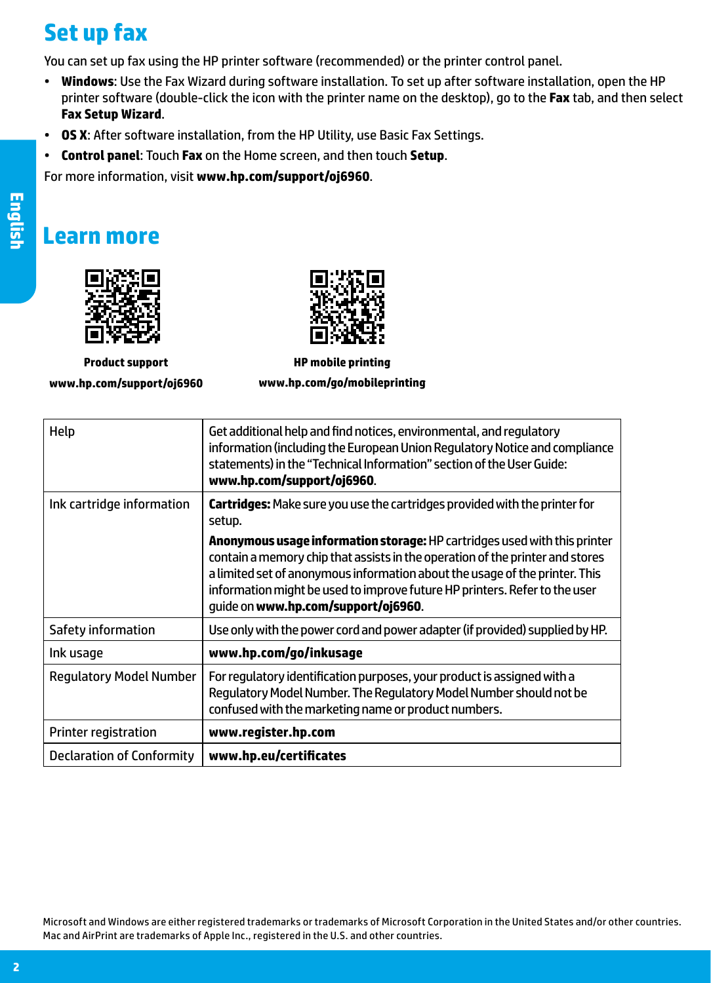## **Set up fax**

You can set up fax using the HP printer software (recommended) or the printer control panel.

- **Windows**: Use the Fax Wizard during software installation. To set up after software installation, open the HP printer software (double-click the icon with the printer name on the desktop), go to the **Fax** tab, and then select **Fax Setup Wizard**.
- **OS X**: After software installation, from the HP Utility, use Basic Fax Settings.
- **Control panel**: Touch **Fax** on the Home screen, and then touch **Setup**.

For more information, visit **[www.hp.com/support/oj6960](http://www.hp.com/support/oj6960)**.

### **Learn more**



**Product support [www.hp.com/support/oj6960](http://www.hp.com/support/oj6960)**



**HP mobile printing [www.hp.com/go/mobileprinting](http://www.hp.com/go/mobileprinting)**

| Help                           | Get additional help and find notices, environmental, and regulatory<br>information (including the European Union Regulatory Notice and compliance<br>statements) in the "Technical Information" section of the User Guide:<br>www.hp.com/support/oj6960.                                                                                                              |
|--------------------------------|-----------------------------------------------------------------------------------------------------------------------------------------------------------------------------------------------------------------------------------------------------------------------------------------------------------------------------------------------------------------------|
| Ink cartridge information      | <b>Cartridges:</b> Make sure you use the cartridges provided with the printer for<br>setup.                                                                                                                                                                                                                                                                           |
|                                | <b>Anonymous usage information storage: HP</b> cartridges used with this printer<br>contain a memory chip that assists in the operation of the printer and stores<br>a limited set of anonymous information about the usage of the printer. This<br>information might be used to improve future HP printers. Refer to the user<br>guide on www.hp.com/support/oj6960. |
| Safety information             | Use only with the power cord and power adapter (if provided) supplied by HP.                                                                                                                                                                                                                                                                                          |
| Ink usage                      | www.hp.com/go/inkusage                                                                                                                                                                                                                                                                                                                                                |
| <b>Regulatory Model Number</b> | For regulatory identification purposes, your product is assigned with a<br>Regulatory Model Number. The Regulatory Model Number should not be<br>confused with the marketing name or product numbers.                                                                                                                                                                 |
| Printer registration           | www.register.hp.com                                                                                                                                                                                                                                                                                                                                                   |
| Declaration of Conformity      | www.hp.eu/certificates                                                                                                                                                                                                                                                                                                                                                |

Microsoft and Windows are either registered trademarks or trademarks of Microsoft Corporation in the United States and/or other countries. Mac and AirPrint are trademarks of Apple Inc., registered in the U.S. and other countries.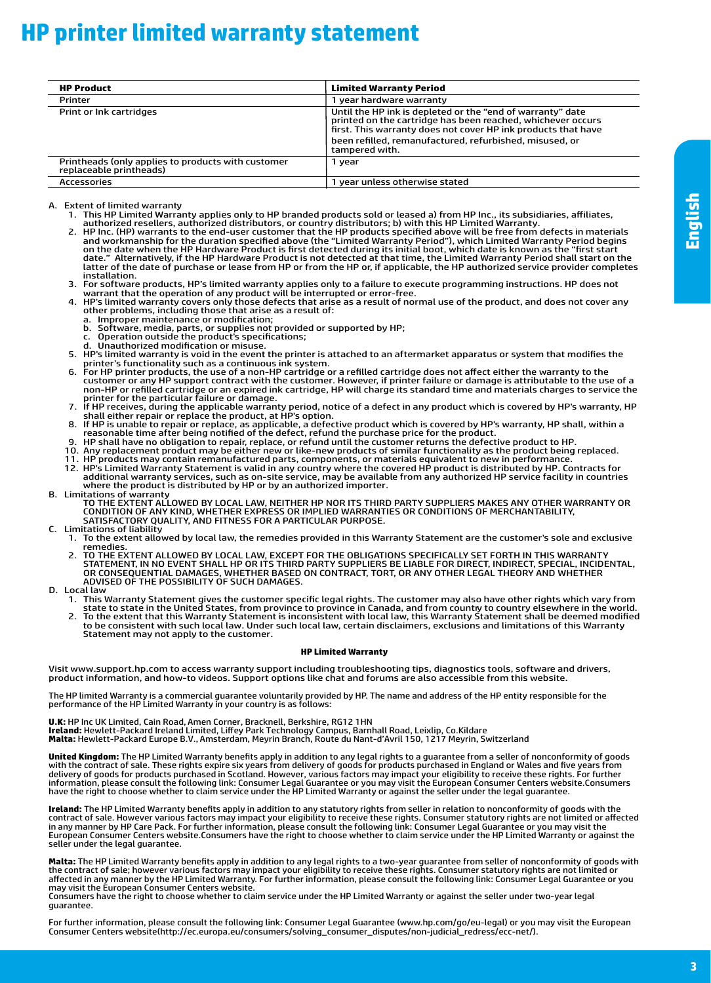## **HP printer limited warranty statement**

| <b>HP Product</b>                                                             | <b>Limited Warranty Period</b>                                                                                                                                                             |
|-------------------------------------------------------------------------------|--------------------------------------------------------------------------------------------------------------------------------------------------------------------------------------------|
| Printer                                                                       | 1 year hardware warranty                                                                                                                                                                   |
| Print or Ink cartridges                                                       | Until the HP ink is depleted or the "end of warranty" date<br>printed on the cartridge has been reached, whichever occurs<br>first. This warranty does not cover HP ink products that have |
|                                                                               | been refilled, remanufactured, refurbished, misused, or<br>tampered with.                                                                                                                  |
| Printheads (only applies to products with customer<br>replaceable printheads) | 1 vear                                                                                                                                                                                     |
| Accessories                                                                   | 1 year unless otherwise stated                                                                                                                                                             |

A. Extent of limited warranty

- 1. This HP Limited Warranty applies only to HP branded products sold or leased a) from HP Inc., its subsidiaries, affiliates, authorized resellers, authorized distributors, or country distributors; b) with this HP Limited Warranty.
- 2. HP Inc. (HP) warrants to the end-user customer that the HP products specified above will be free from defects in materials<br>In and workmanship for the duration specified above (the "Limited Warranty Period"), which lim date." Alternatively, if the HP Hardware Product is not detected at that time, the Limited Warranty Period shall start on the<br>latter of the date of purchase or lease from HP or from the HP or, if applicable, the HP authori installation.<br>Installation.<br>3. For software products, HP's limited warranty applies only to a failure to execute programming instructions. HP does not
- 3. For software products, HP's limited warranty applies only to a failure to execute programming instructions. HP does not<br>warrant that the operation of any product will be interrupted or error-free.<br>4. HP's limited warran
- other problems, including those that arise as a result of: a. Improper maintenance or modification;
	-
- b. Software, media, parts, or supplies not provided or supported by HP;<br>c. Operation outside the product's specifications;
	-
- d. Unauthorized modification or misuse. 5. HP's limited warranty is void in the event the printer is attached to an aftermarket apparatus or system that modifies the
- or the printer's functionality such as a continuous ink system.<br>6. For HP printer products, the use of a non-HP cartridge or a refilled cartridge does not affect either the warranty to the<br>4. Customer or any HP support con non-HP or refilled cartridge or an expired ink cartridge, HP will charge its standard time and materials charges to service the
- printer for the particular failure or damage.<br>The receives, during the applicable warranty period, notice of a defect in any product which is covered by HP's warranty, HP להשתפות shall either repair or replace the product
- 8. If HP is unable to repair or replace, as applicable, a defective product which is covered by HP's warranty, HP shall, within a<br>reasonable time after being notified of the defect, refund the purchase price for the produc
	- 9. HP shall have no obligation to repair, replace, or refund until the customer returns the defective product to HP.
	- 10. Any replacement product may be either new or like-new products of similar functionality as the product being replaced.
- 11. HP products may contain remanufactured parts, components, or materials equivalent to new in performance.<br>12. HP's Limited Warranty Statement is valid in any country where the covered HP product is distributed by HP. Co 12. HP's Limited Warranty Statement is valid in any country where the covered HP product is distributed by HP. Contracts for<br>additional warranty services, such as on-site service, may be available from any authorized HP se
- where the product is distributed by HP or by an authorized importer.<br>B. Limitations of warranty<br>TO THE EXTENT ALLOWED BY LOCAL LAW, NEITHER HP NOR ITS THIRD PARTY SUPPLIERS MAKES ANY OTHER WARRANTY OR<br>CONDITION OF ANY KI
- C. Limitations of liability
	- 1. To the extent allowed by local law, the remedies provided in this Warranty Statement are the customer's sole and exclusive remedies.
- 2. TO THE EXTENT ALLOWED BY LOCAL LAW, EXCEPT FOR THE OBLIGATIONS SPECIFICALLY SET FORTH IN THIS WARRANTY STATEMENT, IN NO EVENT SHALL HP OR ITS THIRD PARTY SUPPLIERS BE LIABLE FOR DIRECT, INDIRECT, SPECIAL, INCIDENTAL,<br>OR CONSEQUENTIAL DAMAGES, WHETHER BASED ON CONTRACT, TORT, OR ANY OTHER LEGAL THEORY AND WHETHER ADVISED OF THE POSSIBILITY OF SUCH DAMAGES. D. Local law
- - 1. This Warranty Statement gives the customer specific legal rights. The customer may also have other rights which vary from<br>1. State to state in the United States, from province to province in Canada, and from country to
	- 2. To the extent that this Warranty Statement is inconsistent with local law, this Warranty Statement shall be deemed modified to be consistent with such local law. Under such local law, certain disclaimers, exclusions and limitations of this Warranty Statement may not apply to the customer.

#### **HP Limited Warranty**

Visit www.support.hp.com to access warranty support including troubleshooting tips, diagnostics tools, software and drivers,<br>product information, and how-to videos. Support options like chat and forums are also accessible

The HP limited Warranty is a commercial guarantee voluntarily provided by HP. The name and address of the HP entity responsible for the performance of the HP Limited Warranty in your country is as follows:

**U.K:** HP Inc UK Limited, Cain Road, Amen Corner, Bracknell, Berkshire, RG12 1HN **Ireland:** Hewlett-Packard Ireland Limited, Liffey Park Technology Campus, Barnhall Road, Leixlip, Co.Kildare<br>**Malta:** Hewlett-Packard Europe B.V., Amsterdam, Meyrin Branch, Route du Nant-d'Avril 150, 1217 Meyrin, Switzerl

**United Kingdom:** The HP Limited Warranty benefits apply in addition to any legal rights to a guarantee from a seller of nonconformity of goods<br>with the contract of sale. These rights expire six years from delivery of good have the right to choose whether to claim service under the HP Limited Warranty or against the seller under the legal guarantee.

**Ireland:** The HP Limited Warranty benefits apply in addition to any statutory rights from seller in relation to nonconformity of goods with the contract of sale. However various factors may impact your eligibility to receive these rights. Consumer statutory rights are not limited or affected<br>in any manner by HP Care Pack. For further information, please consult th European Consumer Centers website.Consumers have the right to choose whether to claim service under the HP Limited Warranty or against the seller under the legal guarantee.

**Malta:** The HP Limited Warranty benefits apply in addition to any legal rights to a two-year guarantee from seller of nonconformity of goods with the contract of sale; however various factors may impact your eligibility to receive these rights. Consumer statutory rights are not limited or<br>affected in any manner by the HP Limited Warranty. For further information, pl may visit the European Consumer Centers website.

Consumers have the right to choose whether to claim service under the HP Limited Warranty or against the seller under two-year legal guarantee.

For further information, please consult the following link: Consumer Legal Guarantee (www.hp.com/go/eu-legal) or you may visit the European Consumer Centers website(http://ec.europa.eu/consumers/solving\_consumer\_disputes/non-judicial\_redress/ecc-net/).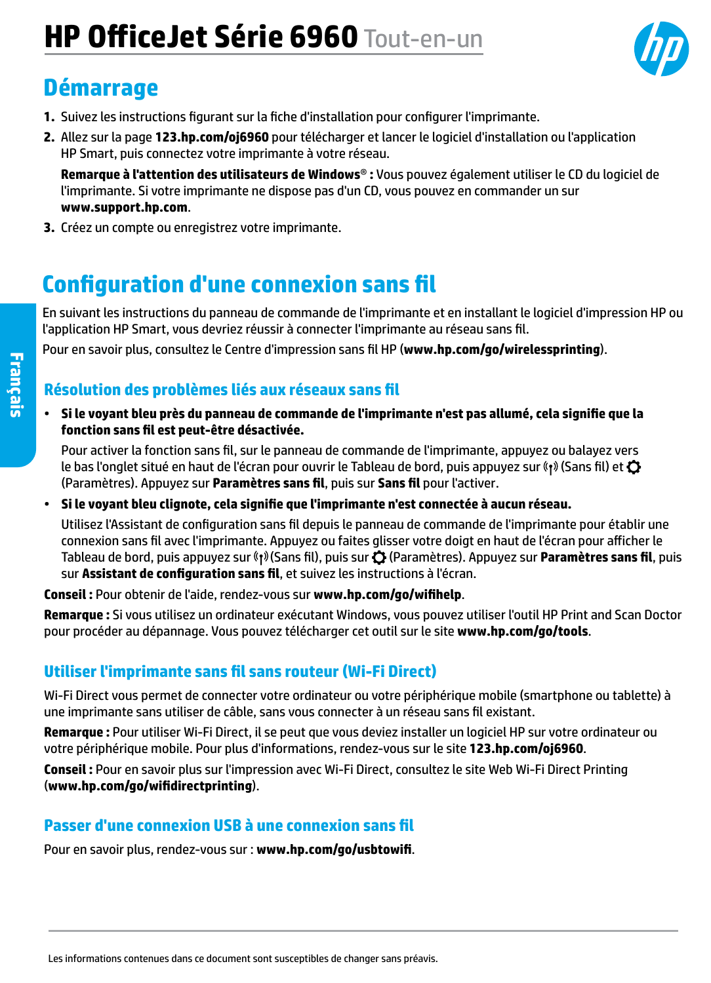# **HP OfficeJet Série 6960** Tout-en-un

## **Démarrage**

- **1.** Suivez les instructions figurant sur la fiche d'installation pour configurer l'imprimante.
- **2.** Allez sur la page **[123.hp.com/oj6960](http://123.hp.com/oj6960)** pour télécharger et lancer le logiciel d'installation ou l'application HP Smart, puis connectez votre imprimante à votre réseau.

**Remarque à l'attention des utilisateurs de Windows**® **:** Vous pouvez également utiliser le CD du logiciel de l'imprimante. Si votre imprimante ne dispose pas d'un CD, vous pouvez en commander un sur **[www.support.hp.com](http://www.support.hp.com)**.

**3.** Créez un compte ou enregistrez votre imprimante.

### **Configuration d'une connexion sans fil**

En suivant les instructions du panneau de commande de l'imprimante et en installant le logiciel d'impression HP ou l'application HP Smart, vous devriez réussir à connecter l'imprimante au réseau sans fil.

Pour en savoir plus, consultez le Centre d'impression sans fil HP (**[www.hp.com/go/wirelessprinting](http://www.hp.com/go/wirelessprinting)**).

#### **Résolution des problèmes liés aux réseaux sans fil**

• **Si le voyant bleu près du panneau de commande de l'imprimante n'est pas allumé, cela signifie que la fonction sans fil est peut-être désactivée.** 

Pour activer la fonction sans fil, sur le panneau de commande de l'imprimante, appuyez ou balayez vers le bas l'onglet situé en haut de l'écran pour ouvrir le Tableau de bord, puis appuyez sur «1» (Sans fil) et  ${\bf Q}$ (Paramètres). Appuyez sur **Paramètres sans fil**, puis sur **Sans fil** pour l'activer.

• **Si le voyant bleu clignote, cela signifie que l'imprimante n'est connectée à aucun réseau.** 

Utilisez l'Assistant de configuration sans fil depuis le panneau de commande de l'imprimante pour établir une connexion sans fil avec l'imprimante. Appuyez ou faites glisser votre doigt en haut de l'écran pour afficher le Tableau de bord, puis appuyez sur Ǡ» (Sans fil), puis sur **۞** (Paramètres). Appuyez sur **Paramètres sans fil**, puis sur **Assistant de configuration sans fil**, et suivez les instructions à l'écran.

**Conseil :** Pour obtenir de l'aide, rendez-vous sur **[www.hp.com/go/wifihelp](http://www.hp.com/go/wifihelp)**.

**Remarque :** Si vous utilisez un ordinateur exécutant Windows, vous pouvez utiliser l'outil HP Print and Scan Doctor pour procéder au dépannage. Vous pouvez télécharger cet outil sur le site **[www.hp.com/go/tools](http://www.hp.com/go/tools)**.

#### **Utiliser l'imprimante sans fil sans routeur (Wi-Fi Direct)**

Wi-Fi Direct vous permet de connecter votre ordinateur ou votre périphérique mobile (smartphone ou tablette) à une imprimante sans utiliser de câble, sans vous connecter à un réseau sans fil existant.

**Remarque :** Pour utiliser Wi-Fi Direct, il se peut que vous deviez installer un logiciel HP sur votre ordinateur ou votre périphérique mobile. Pour plus d'informations, rendez-vous sur le site **[123.hp.com/oj6960](http://123.hp.com/oj6960)**.

**Conseil :** Pour en savoir plus sur l'impression avec Wi-Fi Direct, consultez le site Web Wi-Fi Direct Printing (**[www.hp.com/go/wifidirectprinting](http://www.hp.com/go/wifidirectprinting)**).

#### **Passer d'une connexion USB à une connexion sans fil**

Pour en savoir plus, rendez-vous sur : **[www.hp.com/go/usbtowifi](http://www.hp.com/go/usbtowifi)**.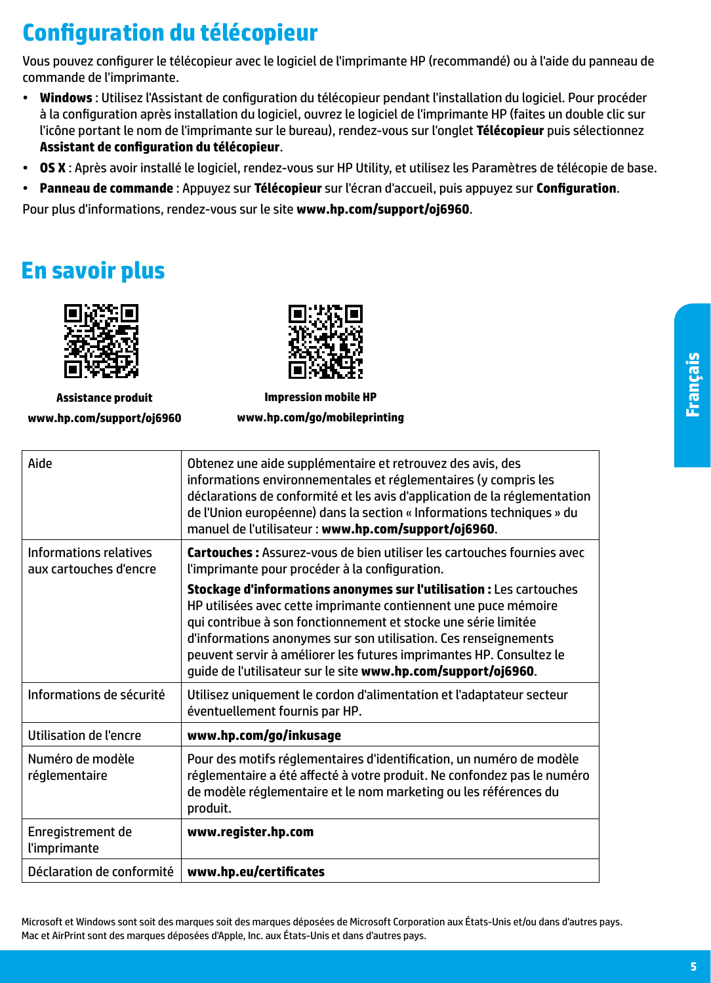## **Configuration du télécopieur**

Vous pouvez configurer le télécopieur avec le logiciel de l'imprimante HP (recommandé) ou à l'aide du panneau de commande de l'imprimante.

- **Windows** : Utilisez l'Assistant de configuration du télécopieur pendant l'installation du logiciel. Pour procéder à la configuration après installation du logiciel, ouvrez le logiciel de l'imprimante HP (faites un double clic sur l'icône portant le nom de l'imprimante sur le bureau), rendez-vous sur l'onglet **Télécopieur** puis sélectionnez **Assistant de configuration du télécopieur**.
- **OS X** : Après avoir installé le logiciel, rendez-vous sur HP Utility, et utilisez les Paramètres de télécopie de base.
- **Panneau de commande** : Appuyez sur **Télécopieur** sur l'écran d'accueil, puis appuyez sur **Configuration**.

Pour plus d'informations, rendez-vous sur le site **[www.hp.com/support/oj6960](http://www.hp.com/support/oj6960)**.

## **En savoir plus**



**Assistance produit [www.hp.com/support/oj6960](http://www.hp.com/support/oj6960)**

**Impression mobile HP [www.hp.com/go/mobileprinting](http://www.hp.com/go/mobileprinting)**

| Aide                                             | Obtenez une aide supplémentaire et retrouvez des avis, des<br>informations environnementales et réglementaires (y compris les<br>déclarations de conformité et les avis d'application de la réglementation<br>de l'Union européenne) dans la section « Informations techniques » du<br>manuel de l'utilisateur : www.hp.com/support/oj6960.                                                                         |
|--------------------------------------------------|---------------------------------------------------------------------------------------------------------------------------------------------------------------------------------------------------------------------------------------------------------------------------------------------------------------------------------------------------------------------------------------------------------------------|
| Informations relatives<br>aux cartouches d'encre | Cartouches : Assurez-vous de bien utiliser les cartouches fournies avec<br>l'imprimante pour procéder à la configuration.                                                                                                                                                                                                                                                                                           |
|                                                  | Stockage d'informations anonymes sur l'utilisation : Les cartouches<br>HP utilisées avec cette imprimante contiennent une puce mémoire<br>qui contribue à son fonctionnement et stocke une série limitée<br>d'informations anonymes sur son utilisation. Ces renseignements<br>peuvent servir à améliorer les futures imprimantes HP. Consultez le<br>guide de l'utilisateur sur le site www.hp.com/support/oj6960. |
| Informations de sécurité                         | Utilisez uniquement le cordon d'alimentation et l'adaptateur secteur<br>éventuellement fournis par HP.                                                                                                                                                                                                                                                                                                              |
| Utilisation de l'encre                           | www.hp.com/go/inkusage                                                                                                                                                                                                                                                                                                                                                                                              |
| Numéro de modèle<br>réglementaire                | Pour des motifs réglementaires d'identification, un numéro de modèle<br>réglementaire a été affecté à votre produit. Ne confondez pas le numéro<br>de modèle réglementaire et le nom marketing ou les références du<br>produit.                                                                                                                                                                                     |
| Enregistrement de<br><i>l'imprimante</i>         | www.register.hp.com                                                                                                                                                                                                                                                                                                                                                                                                 |
| Déclaration de conformité                        | www.hp.eu/certificates                                                                                                                                                                                                                                                                                                                                                                                              |

Microsoft et Windows sont soit des marques soit des marques déposées de Microsoft Corporation aux États-Unis et/ou dans d'autres pays. Mac et AirPrint sont des marques déposées d'Apple, Inc. aux États-Unis et dans d'autres pays.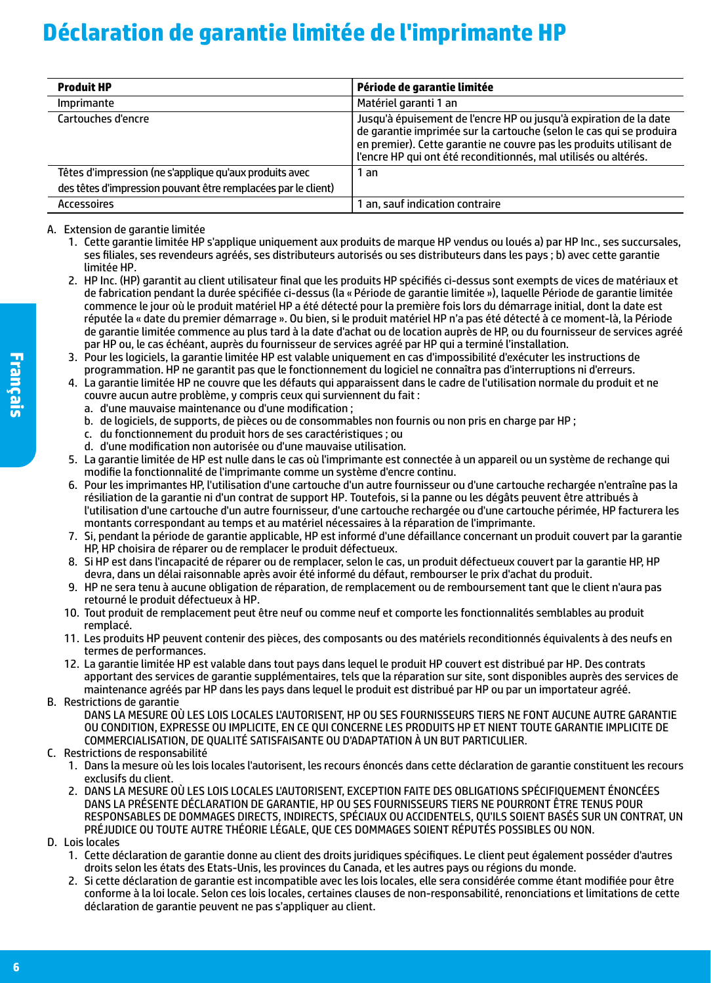## **Déclaration de garantie limitée de l'imprimante HP**

| <b>Produit HP</b>                                             | Période de garantie limitée                                                                                                                                                                                                                                                        |
|---------------------------------------------------------------|------------------------------------------------------------------------------------------------------------------------------------------------------------------------------------------------------------------------------------------------------------------------------------|
| Imprimante                                                    | Matériel garanti 1 an                                                                                                                                                                                                                                                              |
| Cartouches d'encre                                            | Jusqu'à épuisement de l'encre HP ou jusqu'à expiration de la date<br>de garantie imprimée sur la cartouche (selon le cas qui se produira<br>en premier). Cette garantie ne couvre pas les produits utilisant de<br>l'encre HP qui ont été reconditionnés, mal utilisés ou altérés. |
| Têtes d'impression (ne s'applique qu'aux produits avec        | an                                                                                                                                                                                                                                                                                 |
| des têtes d'impression pouvant être remplacées par le client) |                                                                                                                                                                                                                                                                                    |
| Accessoires                                                   | 1 an, sauf indication contraire                                                                                                                                                                                                                                                    |

A. Extension de garantie limitée

- 1. Cette garantie limitée HP s'applique uniquement aux produits de marque HP vendus ou loués a) par HP Inc., ses succursales, ses filiales, ses revendeurs agréés, ses distributeurs autorisés ou ses distributeurs dans les pays ; b) avec cette garantie limitée HP.
- 2. HP Inc. (HP) garantit au client utilisateur final que les produits HP spécifiés ci-dessus sont exempts de vices de matériaux et de fabrication pendant la durée spécifiée ci-dessus (la «Période de garantie limitée»), laquelle Période de garantie limitée commence le jour où le produit matériel HP a été détecté pour la première fois lors du démarrage initial, dont la date est réputée la «date du premier démarrage». Ou bien, si le produit matériel HP n'a pas été détecté à ce moment-là, la Période de garantie limitée commence au plus tard à la date d'achat ou de location auprès de HP, ou du fournisseur de services agréé par HP ou, le cas échéant, auprès du fournisseur de services agréé par HP qui a terminé l'installation.
- 3. Pour les logiciels, la garantie limitée HP est valable uniquement en cas d'impossibilité d'exécuter les instructions de programmation. HP ne garantit pas que le fonctionnement du logiciel ne connaîtra pas d'interruptions ni d'erreurs.
- 4. La garantie limitée HP ne couvre que les défauts qui apparaissent dans le cadre de l'utilisation normale du produit et ne couvre aucun autre problème, y compris ceux qui surviennent du fait :
	- a. d'une mauvaise maintenance ou d'une modification ;
	- b. de logiciels, de supports, de pièces ou de consommables non fournis ou non pris en charge par HP ;
	- c. du fonctionnement du produit hors de ses caractéristiques ; ou
	- d. d'une modification non autorisée ou d'une mauvaise utilisation.
- 5. La garantie limitée de HP est nulle dans le cas où l'imprimante est connectée à un appareil ou un système de rechange qui modifie la fonctionnalité de l'imprimante comme un système d'encre continu.
- 6. Pour les imprimantes HP, l'utilisation d'une cartouche d'un autre fournisseur ou d'une cartouche rechargée n'entraîne pas la résiliation de la garantie ni d'un contrat de support HP. Toutefois, si la panne ou les dégâts peuvent être attribués à l'utilisation d'une cartouche d'un autre fournisseur, d'une cartouche rechargée ou d'une cartouche périmée, HP facturera les montants correspondant au temps et au matériel nécessaires à la réparation de l'imprimante.
- 7. Si, pendant la période de garantie applicable, HP est informé d'une défaillance concernant un produit couvert par la garantie HP, HP choisira de réparer ou de remplacer le produit défectueux.
- 8. Si HP est dans l'incapacité de réparer ou de remplacer, selon le cas, un produit défectueux couvert par la garantie HP, HP devra, dans un délai raisonnable après avoir été informé du défaut, rembourser le prix d'achat du produit.
- 9. HP ne sera tenu à aucune obligation de réparation, de remplacement ou de remboursement tant que le client n'aura pas retourné le produit défectueux à HP.
- 10. Tout produit de remplacement peut être neuf ou comme neuf et comporte les fonctionnalités semblables au produit remplacé.
- 11. Les produits HP peuvent contenir des pièces, des composants ou des matériels reconditionnés équivalents à des neufs en termes de performances.
- 12. La garantie limitée HP est valable dans tout pays dans lequel le produit HP couvert est distribué par HP. Des contrats apportant des services de garantie supplémentaires, tels que la réparation sur site, sont disponibles auprès des services de maintenance agréés par HP dans les pays dans lequel le produit est distribué par HP ou par un importateur agréé.

B. Restrictions de garantie

- DANS LA MESURE OÙ LES LOIS LOCALES L'AUTORISENT, HP OU SES FOURNISSEURS TIERS NE FONT AUCUNE AUTRE GARANTIE OU CONDITION, EXPRESSE OU IMPLICITE, EN CE QUI CONCERNE LES PRODUITS HP ET NIENT TOUTE GARANTIE IMPLICITE DE COMMERCIALISATION, DE QUALITÉ SATISFAISANTE OU D'ADAPTATION À UN BUT PARTICULIER.
- C. Restrictions de responsabilité
	- 1. Dans la mesure où les lois locales l'autorisent, les recours énoncés dans cette déclaration de garantie constituent les recours exclusifs du client.
	- 2. DANS LA MESURE OÙ LES LOIS LOCALES L'AUTORISENT, EXCEPTION FAITE DES OBLIGATIONS SPÉCIFIQUEMENT ÉNONCÉES DANS LA PRÉSENTE DÉCLARATION DE GARANTIE, HP OU SES FOURNISSEURS TIERS NE POURRONT ÊTRE TENUS POUR RESPONSABLES DE DOMMAGES DIRECTS, INDIRECTS, SPÉCIAUX OU ACCIDENTELS, QU'ILS SOIENT BASÉS SUR UN CONTRAT, UN PRÉJUDICE OU TOUTE AUTRE THÉORIE LÉGALE, QUE CES DOMMAGES SOIENT RÉPUTÉS POSSIBLES OU NON.
- D. Lois locales
	- 1. Cette déclaration de garantie donne au client des droits juridiques spécifiques. Le client peut également posséder d'autres droits selon les états des Etats-Unis, les provinces du Canada, et les autres pays ou régions du monde.
	- 2. Si cette déclaration de garantie est incompatible avec les lois locales, elle sera considérée comme étant modifiée pour être conforme à la loi locale. Selon ces lois locales, certaines clauses de non-responsabilité, renonciations et limitations de cette déclaration de garantie peuvent ne pas s'appliquer au client.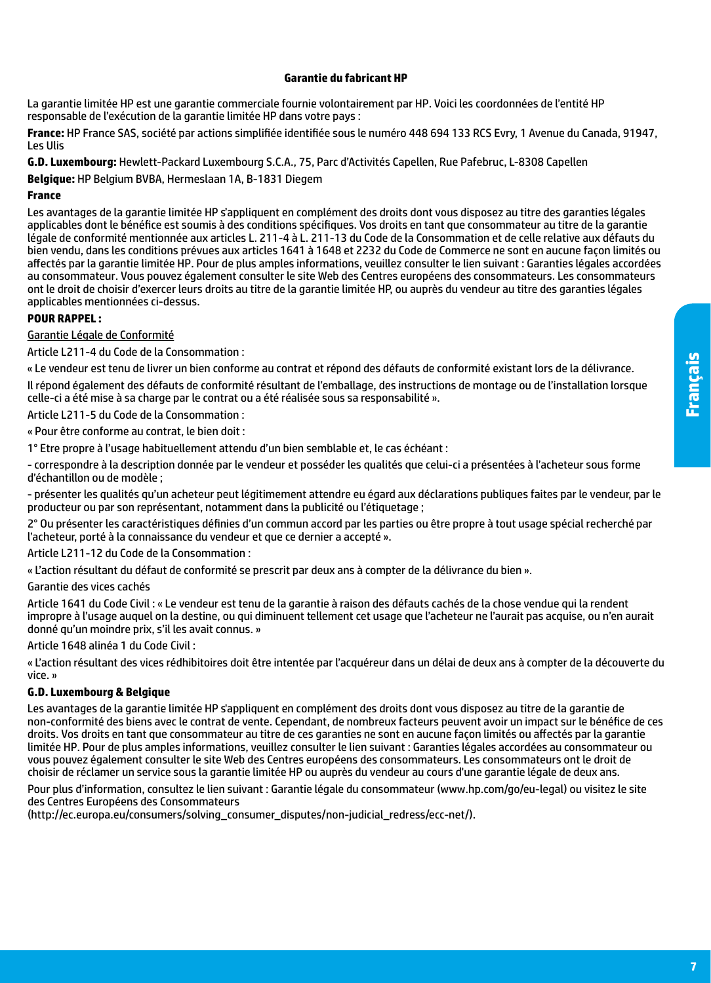#### **Garantie du fabricant HP**

La garantie limitée HP est une garantie commerciale fournie volontairement par HP. Voici les coordonnées de l'entité HP responsable de l'exécution de la garantie limitée HP dans votre pays :

**France:** HP France SAS, société par actions simplifiée identifiée sous le numéro 448 694 133 RCS Evry, 1 Avenue du Canada, 91947, Les Ulis

**G.D. Luxembourg:** Hewlett-Packard Luxembourg S.C.A., 75, Parc d'Activités Capellen, Rue Pafebruc, L-8308 Capellen

**Belgique:** HP Belgium BVBA, Hermeslaan 1A, B-1831 Diegem

#### **France**

Les avantages de la garantie limitée HP s'appliquent en complément des droits dont vous disposez au titre des garanties légales applicables dont le bénéfice est soumis à des conditions spécifiques. Vos droits en tant que consommateur au titre de la garantie légale de conformité mentionnée aux articles L. 211-4 à L. 211-13 du Code de la Consommation et de celle relative aux défauts du bien vendu, dans les conditions prévues aux articles 1641 à 1648 et 2232 du Code de Commerce ne sont en aucune façon limités ou affectés par la garantie limitée HP. Pour de plus amples informations, veuillez consulter le lien suivant : Garanties légales accordées au consommateur. Vous pouvez également consulter le site Web des Centres européens des consommateurs. Les consommateurs ont le droit de choisir d'exercer leurs droits au titre de la garantie limitée HP, ou auprès du vendeur au titre des garanties légales applicables mentionnées ci-dessus.

#### **POUR RAPPEL :**

Garantie Légale de Conformité

Article L211-4 du Code de la Consommation :

« Le vendeur est tenu de livrer un bien conforme au contrat et répond des défauts de conformité existant lors de la délivrance. Il répond également des défauts de conformité résultant de l'emballage, des instructions de montage ou de l'installation lorsque celle-ci a été mise à sa charge par le contrat ou a été réalisée sous sa responsabilité ».

Article L211-5 du Code de la Consommation :

« Pour être conforme au contrat, le bien doit :

1° Etre propre à l'usage habituellement attendu d'un bien semblable et, le cas échéant :

- correspondre à la description donnée par le vendeur et posséder les qualités que celui-ci a présentées à l'acheteur sous forme d'échantillon ou de modèle ;

- présenter les qualités qu'un acheteur peut légitimement attendre eu égard aux déclarations publiques faites par le vendeur, par le producteur ou par son représentant, notamment dans la publicité ou l'étiquetage ;

2° Ou présenter les caractéristiques définies d'un commun accord par les parties ou être propre à tout usage spécial recherché par l'acheteur, porté à la connaissance du vendeur et que ce dernier a accepté ».

Article L211-12 du Code de la Consommation :

« L'action résultant du défaut de conformité se prescrit par deux ans à compter de la délivrance du bien ».

Garantie des vices cachés

Article 1641 du Code Civil : « Le vendeur est tenu de la garantie à raison des défauts cachés de la chose vendue qui la rendent impropre à l'usage auquel on la destine, ou qui diminuent tellement cet usage que l'acheteur ne l'aurait pas acquise, ou n'en aurait donné qu'un moindre prix, s'il les avait connus. »

Article 1648 alinéa 1 du Code Civil :

« L'action résultant des vices rédhibitoires doit être intentée par l'acquéreur dans un délai de deux ans à compter de la découverte du vice. »

#### **G.D. Luxembourg & Belgique**

Les avantages de la garantie limitée HP s'appliquent en complément des droits dont vous disposez au titre de la garantie de non-conformité des biens avec le contrat de vente. Cependant, de nombreux facteurs peuvent avoir un impact sur le bénéfice de ces droits. Vos droits en tant que consommateur au titre de ces garanties ne sont en aucune façon limités ou affectés par la garantie limitée HP. Pour de plus amples informations, veuillez consulter le lien suivant : Garanties légales accordées au consommateur ou vous pouvez également consulter le site Web des Centres européens des consommateurs. Les consommateurs ont le droit de choisir de réclamer un service sous la garantie limitée HP ou auprès du vendeur au cours d'une garantie légale de deux ans.

Pour plus d'information, consultez le lien suivant : Garantie légale du consommateur (www.hp.com/go/eu-legal) ou visitez le site des Centres Européens des Consommateurs

(http://ec.europa.eu/consumers/solving\_consumer\_disputes/non-judicial\_redress/ecc-net/).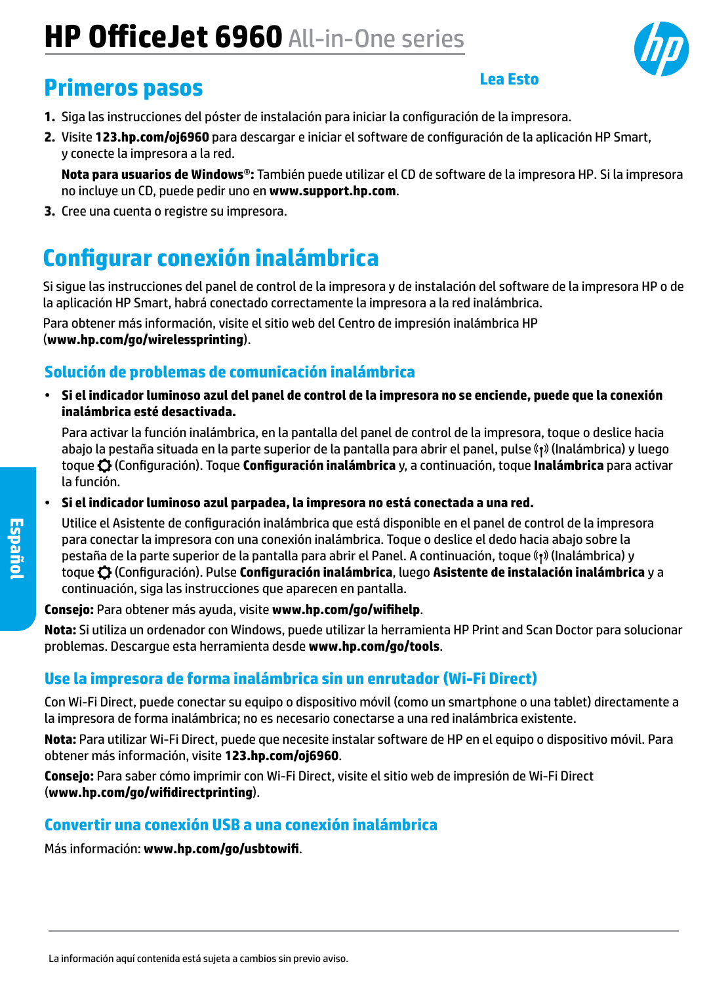# **HP OfficeJet 6960** All-in-One series



### **Primeros pasos**

#### **Lea Esto**

- **1.** Siga las instrucciones del póster de instalación para iniciar la configuración de la impresora.
- **2.** Visite **[123.hp.com/oj6960](http://123.hp.com/oj6960)** para descargar e iniciar el software de configuración de la aplicación HP Smart, y conecte la impresora a la red.

**Nota para usuarios de Windows**®**:** También puede utilizar el CD de software de la impresora HP. Si la impresora no incluye un CD, puede pedir uno en **[www.support.hp.com](http://www.support.hp.com)**.

**3.** Cree una cuenta o registre su impresora.

## **Configurar conexión inalámbrica**

Si sigue las instrucciones del panel de control de la impresora y de instalación del software de la impresora HP o de la aplicación HP Smart, habrá conectado correctamente la impresora a la red inalámbrica.

Para obtener más información, visite el sitio web del Centro de impresión inalámbrica HP (**[www.hp.com/go/wirelessprinting](http://www.hp.com/go/wirelessprinting)**).

### **Solución de problemas de comunicación inalámbrica**

• **Si el indicador luminoso azul del panel de control de la impresora no se enciende, puede que la conexión inalámbrica esté desactivada.** 

Para activar la función inalámbrica, en la pantalla del panel de control de la impresora, toque o deslice hacia abajo la pestaña situada en la parte superior de la pantalla para abrir el panel, pulse (†) (Inalámbrica) y luego toque (Configuración). Toque **Configuración inalámbrica** y, a continuación, toque **Inalámbrica** para activar la función.

• **Si el indicador luminoso azul parpadea, la impresora no está conectada a una red.** 

Utilice el Asistente de configuración inalámbrica que está disponible en el panel de control de la impresora para conectar la impresora con una conexión inalámbrica. Toque o deslice el dedo hacia abajo sobre la pestaña de la parte superior de la pantalla para abrir el Panel. A continuación, toque «1» (Inalámbrica) y toque (Configuración). Pulse **Configuración inalámbrica**, luego **Asistente de instalación inalámbrica** y a continuación, siga las instrucciones que aparecen en pantalla.

#### **Consejo:** Para obtener más ayuda, visite **[www.hp.com/go/wifihelp](http://www.hp.com/go/wifihelp)**.

**Nota:** Si utiliza un ordenador con Windows, puede utilizar la herramienta HP Print and Scan Doctor para solucionar problemas. Descargue esta herramienta desde **[www.hp.com/go/tools](http://www.hp.com/go/tools)**.

### **Use la impresora de forma inalámbrica sin un enrutador (Wi-Fi Direct)**

Con Wi-Fi Direct, puede conectar su equipo o dispositivo móvil (como un smartphone o una tablet) directamente a la impresora de forma inalámbrica; no es necesario conectarse a una red inalámbrica existente.

**Nota:** Para utilizar Wi-Fi Direct, puede que necesite instalar software de HP en el equipo o dispositivo móvil. Para obtener más información, visite **[123.hp.com/oj6960](http://123.hp.com/oj6960)**.

**Consejo:** Para saber cómo imprimir con Wi-Fi Direct, visite el sitio web de impresión de Wi-Fi Direct (**[www.hp.com/go/wifidirectprinting](http://www.hp.com/go/wifidirectprinting)**).

#### **Convertir una conexión USB a una conexión inalámbrica**

Más información: **[www.hp.com/go/usbtowifi](http://www.hp.com/go/usbtowifi)**.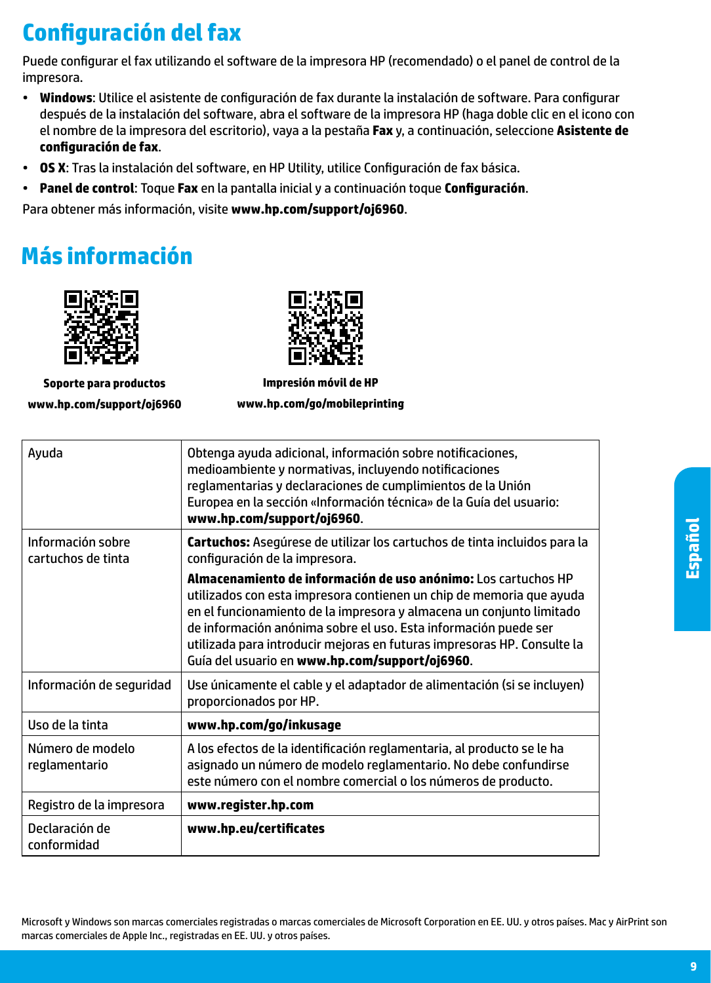## **Configuración del fax**

Puede configurar el fax utilizando el software de la impresora HP (recomendado) o el panel de control de la impresora.

- **Windows**: Utilice el asistente de configuración de fax durante la instalación de software. Para configurar después de la instalación del software, abra el software de la impresora HP (haga doble clic en el icono con el nombre de la impresora del escritorio), vaya a la pestaña **Fax** y, a continuación, seleccione **Asistente de configuración de fax**.
- **OS X**: Tras la instalación del software, en HP Utility, utilice Configuración de fax básica.
- **Panel de control**: Toque **Fax** en la pantalla inicial y a continuación toque **Configuración**.

Para obtener más información, visite **[www.hp.com/support/oj6960](http://www.hp.com/support/oj6960)**.

## **Más información**



**Soporte para productos [www.hp.com/support/oj6960](http://www.hp.com/support/oj6960)**



**Impresión móvil de HP [www.hp.com/go/mobileprinting](http://www.hp.com/go/mobileprinting)**

| Ayuda                                   | Obtenga ayuda adicional, información sobre notificaciones,<br>medioambiente y normativas, incluyendo notificaciones<br>reglamentarias y declaraciones de cumplimientos de la Unión<br>Europea en la sección «Información técnica» de la Guía del usuario:<br>www.hp.com/support/oj6960.                                                                                                                        |
|-----------------------------------------|----------------------------------------------------------------------------------------------------------------------------------------------------------------------------------------------------------------------------------------------------------------------------------------------------------------------------------------------------------------------------------------------------------------|
| Información sobre<br>cartuchos de tinta | Cartuchos: Asegúrese de utilizar los cartuchos de tinta incluidos para la<br>configuración de la impresora.                                                                                                                                                                                                                                                                                                    |
|                                         | Almacenamiento de información de uso anónimo: Los cartuchos HP<br>utilizados con esta impresora contienen un chip de memoria que ayuda<br>en el funcionamiento de la impresora y almacena un conjunto limitado<br>de información anónima sobre el uso. Esta información puede ser<br>utilizada para introducir mejoras en futuras impresoras HP. Consulte la<br>Guía del usuario en www.hp.com/support/oj6960. |
| Información de seguridad                | Use únicamente el cable y el adaptador de alimentación (si se incluyen)<br>proporcionados por HP.                                                                                                                                                                                                                                                                                                              |
| Uso de la tinta                         | www.hp.com/go/inkusage                                                                                                                                                                                                                                                                                                                                                                                         |
| Número de modelo<br>reglamentario       | A los efectos de la identificación reglamentaria, al producto se le ha<br>asignado un número de modelo reglamentario. No debe confundirse<br>este número con el nombre comercial o los números de producto.                                                                                                                                                                                                    |
| Registro de la impresora                | www.register.hp.com                                                                                                                                                                                                                                                                                                                                                                                            |
| Declaración de<br>conformidad           | www.hp.eu/certificates                                                                                                                                                                                                                                                                                                                                                                                         |

**Español**

Microsoft y Windows son marcas comerciales registradas o marcas comerciales de Microsoft Corporation en EE. UU. y otros países. Mac y AirPrint son marcas comerciales de Apple Inc., registradas en EE. UU. y otros países.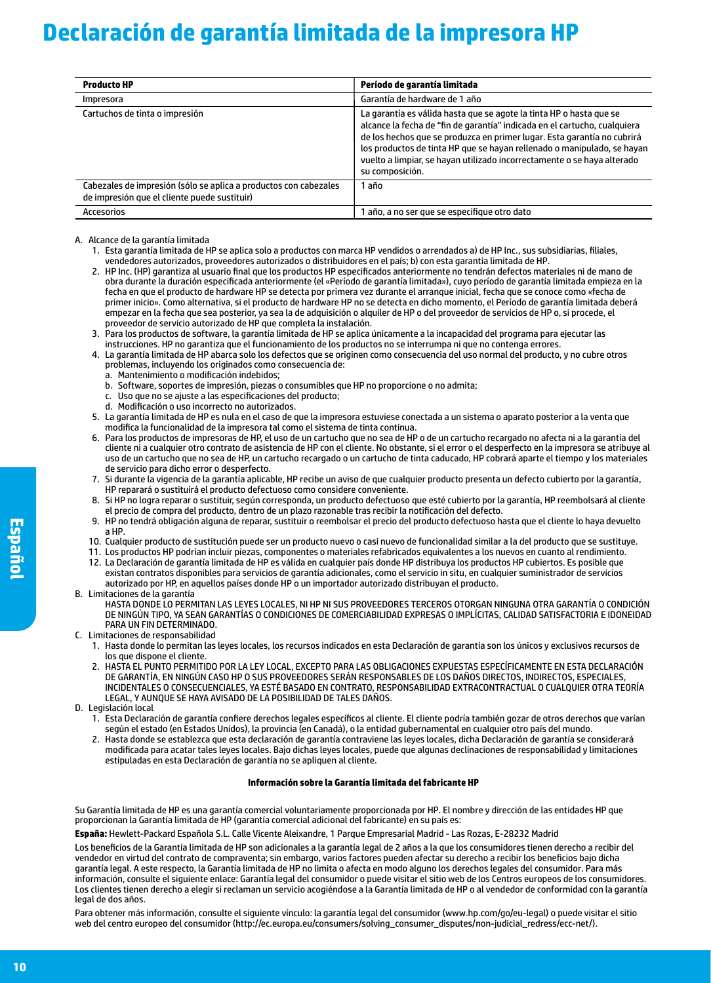## **Declaración de garantía limitada de la impresora HP**

| <b>Producto HP</b>                                                                                               | Período de garantía limitada                                                                                                                                                                                                                                                                                                                                                                         |
|------------------------------------------------------------------------------------------------------------------|------------------------------------------------------------------------------------------------------------------------------------------------------------------------------------------------------------------------------------------------------------------------------------------------------------------------------------------------------------------------------------------------------|
| Impresora                                                                                                        | Garantía de hardware de 1 año                                                                                                                                                                                                                                                                                                                                                                        |
| Cartuchos de tinta o impresión                                                                                   | La garantía es válida hasta que se agote la tinta HP o hasta que se<br>alcance la fecha de "fin de garantía" indicada en el cartucho, cualquiera<br>de los hechos que se produzca en primer lugar. Esta garantía no cubrirá<br>los productos de tinta HP que se hayan rellenado o manipulado, se hayan<br>vuelto a limpiar, se havan utilizado incorrectamente o se hava alterado<br>su composición. |
| Cabezales de impresión (sólo se aplica a productos con cabezales<br>de impresión que el cliente puede sustituir) | 1 año                                                                                                                                                                                                                                                                                                                                                                                                |
| Accesorios                                                                                                       | 1 año, a no ser que se especifique otro dato                                                                                                                                                                                                                                                                                                                                                         |

#### A. Alcance de la garantía limitada

- 1. Esta garantía limitada de HP se aplica solo a productos con marca HP vendidos o arrendados a) de HP Inc., sus subsidiarias, filiales, vendedores autorizados, proveedores autorizados o distribuidores en el país; b) con esta garantía limitada de HP.
- 2. HP Inc. (HP) garantiza al usuario final que los productos HP especificados anteriormente no tendrán defectos materiales ni de mano de obra durante la duración especificada anteriormente (el «Período de garantía limitada»), cuyo período de garantía limitada empieza en la fecha en que el producto de hardware HP se detecta por primera vez durante el arranque inicial, fecha que se conoce como «fecha de primer inicio». Como alternativa, si el producto de hardware HP no se detecta en dicho momento, el Período de garantía limitada deberá empezar en la fecha que sea posterior, ya sea la de adquisición o alquiler de HP o del proveedor de servicios de HP o, si procede, el proveedor de servicio autorizado de HP que completa la instalación.
- 3. Para los productos de software, la garantía limitada de HP se aplica únicamente a la incapacidad del programa para ejecutar las instrucciones. HP no garantiza que el funcionamiento de los productos no se interrumpa ni que no contenga errores.
- 4. La garantía limitada de HP abarca solo los defectos que se originen como consecuencia del uso normal del producto, y no cubre otros problemas, incluyendo los originados como consecuencia de:
	- a. Mantenimiento o modificación indebidos;
	- b. Software, soportes de impresión, piezas o consumibles que HP no proporcione o no admita;
	- c. Uso que no se ajuste a las especificaciones del producto;
	- d. Modificación o uso incorrecto no autorizados.
- 5. La garantía limitada de HP es nula en el caso de que la impresora estuviese conectada a un sistema o aparato posterior a la venta que modifica la funcionalidad de la impresora tal como el sistema de tinta continua.
- 6. Para los productos de impresoras de HP, el uso de un cartucho que no sea de HP o de un cartucho recargado no afecta ni a la garantía del cliente ni a cualquier otro contrato de asistencia de HP con el cliente. No obstante, si el error o el desperfecto en la impresora se atribuye al uso de un cartucho que no sea de HP, un cartucho recargado o un cartucho de tinta caducado, HP cobrará aparte el tiempo y los materiales de servicio para dicho error o desperfecto.
- 7. Si durante la vigencia de la garantía aplicable, HP recibe un aviso de que cualquier producto presenta un defecto cubierto por la garantía, HP reparará o sustituirá el producto defectuoso como considere conveniente.
- 8. Si HP no logra reparar o sustituir, según corresponda, un producto defectuoso que esté cubierto por la garantía, HP reembolsará al cliente el precio de compra del producto, dentro de un plazo razonable tras recibir la notificación del defecto.
- 9. HP no tendrá obligación alguna de reparar, sustituir o reembolsar el precio del producto defectuoso hasta que el cliente lo haya devuelto a HP.
- 10. Cualquier producto de sustitución puede ser un producto nuevo o casi nuevo de funcionalidad similar a la del producto que se sustituye.
- 11. Los productos HP podrían incluir piezas, componentes o materiales refabricados equivalentes a los nuevos en cuanto al rendimiento.
- 12. La Declaración de garantía limitada de HP es válida en cualquier país donde HP distribuya los productos HP cubiertos. Es posible que existan contratos disponibles para servicios de garantía adicionales, como el servicio in situ, en cualquier suministrador de servicios autorizado por HP, en aquellos países donde HP o un importador autorizado distribuyan el producto.
- B. Limitaciones de la garantía

HASTA DONDE LO PERMITAN LAS LEYES LOCALES, NI HP NI SUS PROVEEDORES TERCEROS OTORGAN NINGUNA OTRA GARANTÍA O CONDICIÓN DE NINGÚN TIPO, YA SEAN GARANTÍAS O CONDICIONES DE COMERCIABILIDAD EXPRESAS O IMPLÍCITAS, CALIDAD SATISFACTORIA E IDONEIDAD PARA UN FIN DETERMINADO.

- C. Limitaciones de responsabilidad
	- 1. Hasta donde lo permitan las leyes locales, los recursos indicados en esta Declaración de garantía son los únicos y exclusivos recursos de los que dispone el cliente.
	- 2. HASTA EL PUNTO PERMITIDO POR LA LEY LOCAL, EXCEPTO PARA LAS OBLIGACIONES EXPUESTAS ESPECÍFICAMENTE EN ESTA DECLARACIÓN DE GARANTÍA, EN NINGÚN CASO HP O SUS PROVEEDORES SERÁN RESPONSABLES DE LOS DAÑOS DIRECTOS, INDIRECTOS, ESPECIALES, INCIDENTALES O CONSECUENCIALES, YA ESTÉ BASADO EN CONTRATO, RESPONSABILIDAD EXTRACONTRACTUAL O CUALQUIER OTRA TEORÍA LEGAL, Y AUNQUE SE HAYA AVISADO DE LA POSIBILIDAD DE TALES DAÑOS.
- D. Legislación local
	- 1. Esta Declaración de garantía confiere derechos legales específicos al cliente. El cliente podría también gozar de otros derechos que varían según el estado (en Estados Unidos), la provincia (en Canadá), o la entidad gubernamental en cualquier otro país del mundo.
	- 2. Hasta donde se establezca que esta declaración de garantía contraviene las leyes locales, dicha Declaración de garantía se considerará modificada para acatar tales leyes locales. Bajo dichas leyes locales, puede que algunas declinaciones de responsabilidad y limitaciones estipuladas en esta Declaración de garantía no se apliquen al cliente.

#### **Información sobre la Garantía limitada del fabricante HP**

Su Garantía limitada de HP es una garantía comercial voluntariamente proporcionada por HP. El nombre y dirección de las entidades HP que proporcionan la Garantía limitada de HP (garantía comercial adicional del fabricante) en su país es:

**España:** Hewlett-Packard Española S.L. Calle Vicente Aleixandre, 1 Parque Empresarial Madrid - Las Rozas, E-28232 Madrid

Los beneficios de la Garantía limitada de HP son adicionales a la garantía legal de 2 años a la que los consumidores tienen derecho a recibir del vendedor en virtud del contrato de compraventa; sin embargo, varios factores pueden afectar su derecho a recibir los beneficios bajo dicha garantía legal. A este respecto, la Garantía limitada de HP no limita o afecta en modo alguno los derechos legales del consumidor. Para más información, consulte el siguiente enlace: Garantía legal del consumidor o puede visitar el sitio web de los Centros europeos de los consumidores. Los clientes tienen derecho a elegir si reclaman un servicio acogiéndose a la Garantía limitada de HP o al vendedor de conformidad con la garantía legal de dos años.

Para obtener más información, consulte el siguiente vínculo: la garantía legal del consumidor (www.hp.com/go/eu-legal) o puede visitar el sitio web del centro europeo del consumidor (http://ec.europa.eu/consumers/solving\_consumer\_disputes/non-judicial\_redress/ecc-net/).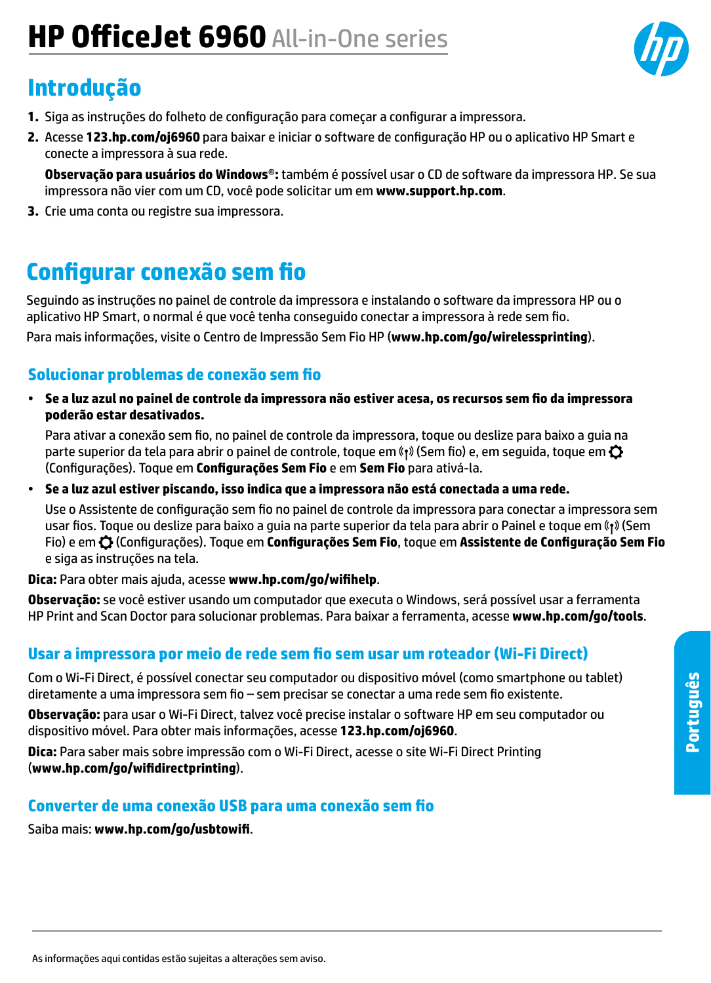# **HP OfficeJet 6960** All-in-One series

## **Introdução**

- **1.** Siga as instruções do folheto de configuração para começar a configurar a impressora.
- **2.** Acesse **[123.hp.com/oj6960](http://123.hp.com/oj6960)** para baixar e iniciar o software de configuração HP ou o aplicativo HP Smart e conecte a impressora à sua rede.

**Observação para usuários do Windows**®**:** também é possível usar o CD de software da impressora HP. Se sua impressora não vier com um CD, você pode solicitar um em **[www.support.hp.com](http://www.support.hp.com)**.

**3.** Crie uma conta ou registre sua impressora.

## **Configurar conexão sem fio**

Seguindo as instruções no painel de controle da impressora e instalando o software da impressora HP ou o aplicativo HP Smart, o normal é que você tenha conseguido conectar a impressora à rede sem fio.

Para mais informações, visite o Centro de Impressão Sem Fio HP (**[www.hp.com/go/wirelessprinting](http://www.hp.com/go/wirelessprinting)**).

#### **Solucionar problemas de conexão sem fio**

• **Se a luz azul no painel de controle da impressora não estiver acesa, os recursos sem fio da impressora poderão estar desativados.** 

Para ativar a conexão sem fio, no painel de controle da impressora, toque ou deslize para baixo a guia na parte superior da tela para abrir o painel de controle, toque em (s) (Sem fio) e, em sequida, toque em  $\bullet$ (Configurações). Toque em **Configurações Sem Fio** e em **Sem Fio** para ativá-la.

• **Se a luz azul estiver piscando, isso indica que a impressora não está conectada a uma rede.** 

Use o Assistente de configuração sem fio no painel de controle da impressora para conectar a impressora sem usar fios. Toque ou deslize para baixo a guia na parte superior da tela para abrir o Painel e toque em «1» (Sem Fio) e em (Configurações). Toque em **Configurações Sem Fio**, toque em **Assistente de Configuração Sem Fio** e siga as instruções na tela.

**Dica:** Para obter mais ajuda, acesse **[www.hp.com/go/wifihelp](http://www.hp.com/go/wifihelp)**.

**Observação:** se você estiver usando um computador que executa o Windows, será possível usar a ferramenta HP Print and Scan Doctor para solucionar problemas. Para baixar a ferramenta, acesse **[www.hp.com/go/tools](http://www.hp.com/go/tools)**.

#### **Usar a impressora por meio de rede sem fio sem usar um roteador (Wi-Fi Direct)**

Com o Wi-Fi Direct, é possível conectar seu computador ou dispositivo móvel (como smartphone ou tablet) diretamente a uma impressora sem fio – sem precisar se conectar a uma rede sem fio existente.

**Observação:** para usar o Wi-Fi Direct, talvez você precise instalar o software HP em seu computador ou dispositivo móvel. Para obter mais informações, acesse **[123.hp.com/oj6960](http://123.hp.com/oj6960)**.

**Dica:** Para saber mais sobre impressão com o Wi-Fi Direct, acesse o site Wi-Fi Direct Printing (**[www.hp.com/go/wifidirectprinting](http://www.hp.com/go/wifidirectprinting)**).

#### **Converter de uma conexão USB para uma conexão sem fio**

Saiba mais: **[www.hp.com/go/usbtowifi](http://www.hp.com/go/usbtowifi)**.

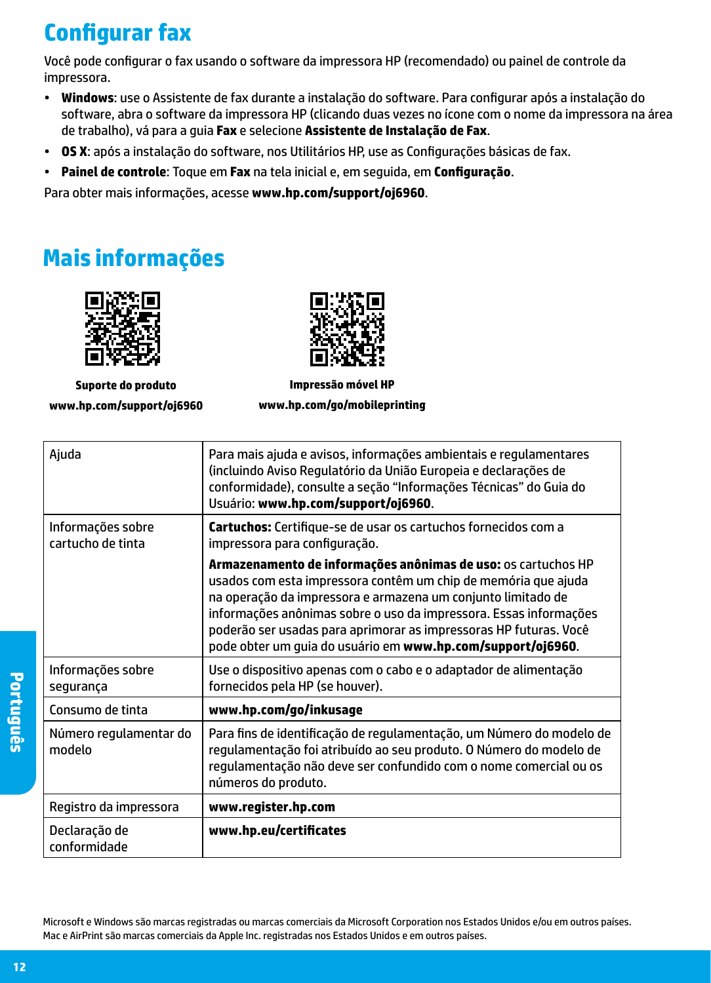## **Configurar fax**

Você pode configurar o fax usando o software da impressora HP (recomendado) ou painel de controle da impressora.

- **Windows**: use o Assistente de fax durante a instalação do software. Para configurar após a instalação do software, abra o software da impressora HP (clicando duas vezes no ícone com o nome da impressora na área de trabalho), vá para a guia **Fax** e selecione **Assistente de Instalação de Fax**.
- **OS X**: após a instalação do software, nos Utilitários HP, use as Configurações básicas de fax.
- **Painel de controle**: Toque em **Fax** na tela inicial e, em seguida, em **Configuração**.

Para obter mais informações, acesse **[www.hp.com/support/oj6960](http://www.hp.com/support/oj6960)**.

## **Mais informações**



**Suporte do produto [www.hp.com/support/oj6960](http://www.hp.com/support/oj6960)**



**Impressão móvel HP [www.hp.com/go/mobileprinting](http://www.hp.com/go/mobileprinting)**

| Ajuda                                  | Para mais ajuda e avisos, informações ambientais e regulamentares<br>(incluindo Aviso Regulatório da União Europeia e declarações de<br>conformidade), consulte a seção "Informações Técnicas" do Guia do<br>Usuário: www.hp.com/support/oj6960.                                                                                                                                                         |
|----------------------------------------|----------------------------------------------------------------------------------------------------------------------------------------------------------------------------------------------------------------------------------------------------------------------------------------------------------------------------------------------------------------------------------------------------------|
| Informações sobre<br>cartucho de tinta | <b>Cartuchos:</b> Certifique-se de usar os cartuchos fornecidos com a<br>impressora para configuração.                                                                                                                                                                                                                                                                                                   |
|                                        | Armazenamento de informações anônimas de uso: os cartuchos HP<br>usados com esta impressora contêm um chip de memória que ajuda<br>na operação da impressora e armazena um conjunto limitado de<br>informações anônimas sobre o uso da impressora. Essas informações<br>poderão ser usadas para aprimorar as impressoras HP futuras. Você<br>pode obter um guia do usuário em www.hp.com/support/oj6960. |
| Informações sobre<br>segurança         | Use o dispositivo apenas com o cabo e o adaptador de alimentação<br>fornecidos pela HP (se houver).                                                                                                                                                                                                                                                                                                      |
| Consumo de tinta                       | www.hp.com/go/inkusage                                                                                                                                                                                                                                                                                                                                                                                   |
| Número regulamentar do<br>modelo       | Para fins de identificação de regulamentação, um Número do modelo de<br>regulamentação foi atribuído ao seu produto. O Número do modelo de<br>regulamentação não deve ser confundido com o nome comercial ou os<br>números do produto.                                                                                                                                                                   |
| Registro da impressora                 | www.register.hp.com                                                                                                                                                                                                                                                                                                                                                                                      |
| Declaração de<br>conformidade          | www.hp.eu/certificates                                                                                                                                                                                                                                                                                                                                                                                   |

Microsoft e Windows são marcas registradas ou marcas comerciais da Microsoft Corporation nos Estados Unidos e/ou em outros países. Mac e AirPrint são marcas comerciais da Apple Inc. registradas nos Estados Unidos e em outros países.